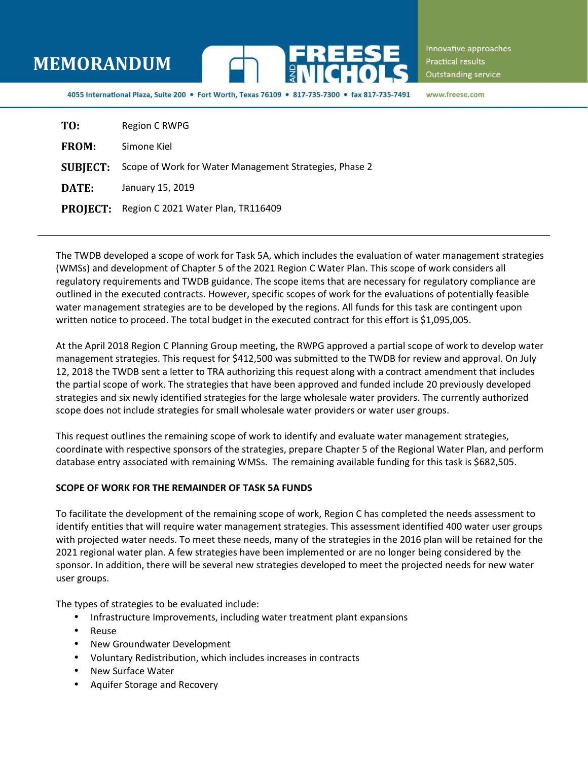## **MEMORANDUM**



Innovative approaches Practical results Outstanding service

4055 International Plaza, Suite 200 · Fort Worth, Texas 76109 · 817-735-7300 · fax 817-735-7491

www.freese.com

| TO:          | Region C RWPG                                                          |
|--------------|------------------------------------------------------------------------|
| <b>FROM:</b> | Simone Kiel                                                            |
|              | <b>SUBJECT:</b> Scope of Work for Water Management Strategies, Phase 2 |
| DATE:        | January 15, 2019                                                       |
|              | PROJECT: Region C 2021 Water Plan, TR116409                            |

The TWDB developed a scope of work for Task 5A, which includes the evaluation of water management strategies (WMSs) and development of Chapter 5 of the 2021 Region C Water Plan. This scope of work considers all regulatory requirements and TWDB guidance. The scope items that are necessary for regulatory compliance are outlined in the executed contracts. However, specific scopes of work for the evaluations of potentially feasible water management strategies are to be developed by the regions. All funds for this task are contingent upon written notice to proceed. The total budget in the executed contract for this effort is \$1,095,005.

At the April 2018 Region C Planning Group meeting, the RWPG approved a partial scope of work to develop water management strategies. This request for \$412,500 was submitted to the TWDB for review and approval. On July 12, 2018 the TWDB sent a letter to TRA authorizing this request along with a contract amendment that includes the partial scope of work. The strategies that have been approved and funded include 20 previously developed strategies and six newly identified strategies for the large wholesale water providers. The currently authorized scope does not include strategies for small wholesale water providers or water user groups.

This request outlines the remaining scope of work to identify and evaluate water management strategies, coordinate with respective sponsors of the strategies, prepare Chapter 5 of the Regional Water Plan, and perform database entry associated with remaining WMSs. The remaining available funding for this task is \$682,505.

## **SCOPE OF WORK FOR THE REMAINDER OF TASK 5A FUNDS**

To facilitate the development of the remaining scope of work, Region C has completed the needs assessment to identify entities that will require water management strategies. This assessment identified 400 water user groups with projected water needs. To meet these needs, many of the strategies in the 2016 plan will be retained for the 2021 regional water plan. A few strategies have been implemented or are no longer being considered by the sponsor. In addition, there will be several new strategies developed to meet the projected needs for new water user groups.

The types of strategies to be evaluated include:

- Infrastructure Improvements, including water treatment plant expansions
- Reuse
- New Groundwater Development
- Voluntary Redistribution, which includes increases in contracts
- New Surface Water
- Aquifer Storage and Recovery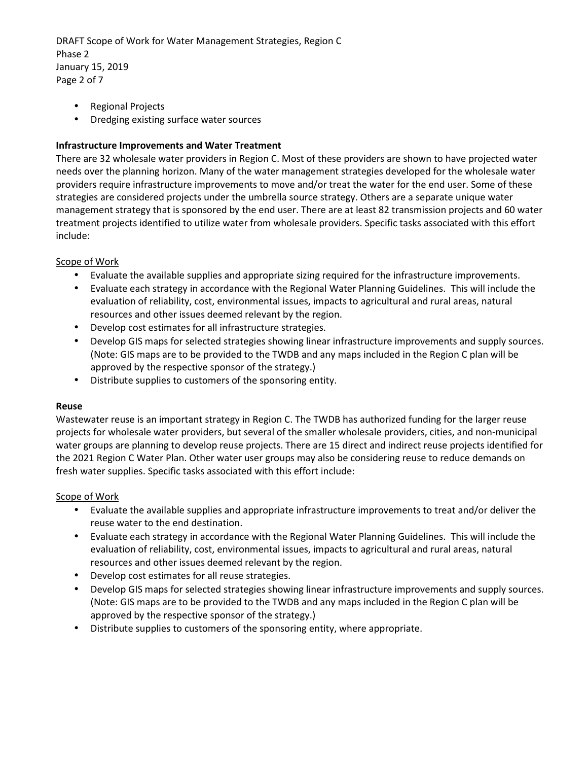DRAFT Scope of Work for Water Management Strategies, Region C Phase 2 January 15, 2019 Page 2 of 7

- Regional Projects
- Dredging existing surface water sources

## **Infrastructure Improvements and Water Treatment**

There are 32 wholesale water providers in Region C. Most of these providers are shown to have projected water needs over the planning horizon. Many of the water management strategies developed for the wholesale water providers require infrastructure improvements to move and/or treat the water for the end user. Some of these strategies are considered projects under the umbrella source strategy. Others are a separate unique water management strategy that is sponsored by the end user. There are at least 82 transmission projects and 60 water treatment projects identified to utilize water from wholesale providers. Specific tasks associated with this effort include:

## Scope of Work

- Evaluate the available supplies and appropriate sizing required for the infrastructure improvements.
- Evaluate each strategy in accordance with the Regional Water Planning Guidelines. This will include the evaluation of reliability, cost, environmental issues, impacts to agricultural and rural areas, natural resources and other issues deemed relevant by the region.
- Develop cost estimates for all infrastructure strategies.
- Develop GIS maps for selected strategies showing linear infrastructure improvements and supply sources. (Note: GIS maps are to be provided to the TWDB and any maps included in the Region C plan will be approved by the respective sponsor of the strategy.)
- Distribute supplies to customers of the sponsoring entity.

## **Reuse**

Wastewater reuse is an important strategy in Region C. The TWDB has authorized funding for the larger reuse projects for wholesale water providers, but several of the smaller wholesale providers, cities, and non-municipal water groups are planning to develop reuse projects. There are 15 direct and indirect reuse projects identified for the 2021 Region C Water Plan. Other water user groups may also be considering reuse to reduce demands on fresh water supplies. Specific tasks associated with this effort include:

## Scope of Work

- Evaluate the available supplies and appropriate infrastructure improvements to treat and/or deliver the reuse water to the end destination.
- Evaluate each strategy in accordance with the Regional Water Planning Guidelines. This will include the evaluation of reliability, cost, environmental issues, impacts to agricultural and rural areas, natural resources and other issues deemed relevant by the region.
- Develop cost estimates for all reuse strategies.
- Develop GIS maps for selected strategies showing linear infrastructure improvements and supply sources. (Note: GIS maps are to be provided to the TWDB and any maps included in the Region C plan will be approved by the respective sponsor of the strategy.)
- Distribute supplies to customers of the sponsoring entity, where appropriate.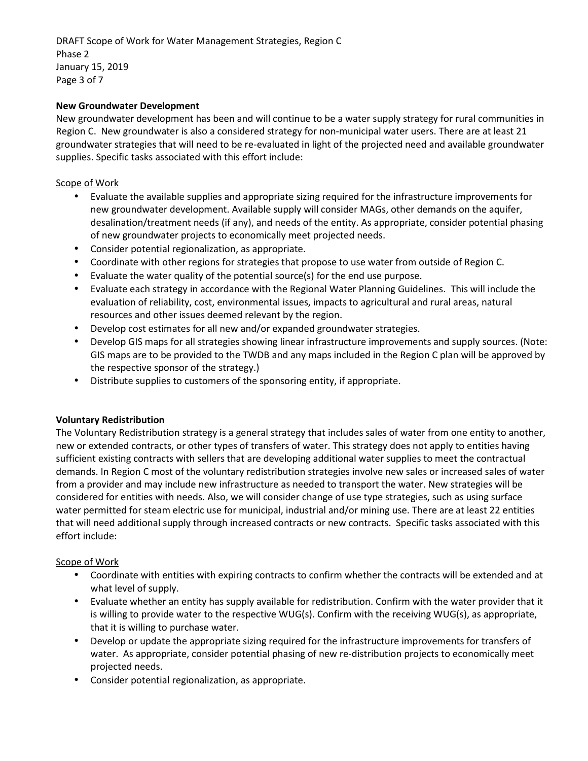DRAFT Scope of Work for Water Management Strategies, Region C Phase 2 January 15, 2019 Page 3 of 7

## **New Groundwater Development**

New groundwater development has been and will continue to be a water supply strategy for rural communities in Region C. New groundwater is also a considered strategy for non-municipal water users. There are at least 21 groundwater strategies that will need to be re-evaluated in light of the projected need and available groundwater supplies. Specific tasks associated with this effort include:

## Scope of Work

- Evaluate the available supplies and appropriate sizing required for the infrastructure improvements for new groundwater development. Available supply will consider MAGs, other demands on the aquifer, desalination/treatment needs (if any), and needs of the entity. As appropriate, consider potential phasing of new groundwater projects to economically meet projected needs.
- Consider potential regionalization, as appropriate.
- Coordinate with other regions for strategies that propose to use water from outside of Region C.
- Evaluate the water quality of the potential source(s) for the end use purpose.
- Evaluate each strategy in accordance with the Regional Water Planning Guidelines. This will include the evaluation of reliability, cost, environmental issues, impacts to agricultural and rural areas, natural resources and other issues deemed relevant by the region.
- Develop cost estimates for all new and/or expanded groundwater strategies.
- Develop GIS maps for all strategies showing linear infrastructure improvements and supply sources. (Note: GIS maps are to be provided to the TWDB and any maps included in the Region C plan will be approved by the respective sponsor of the strategy.)
- Distribute supplies to customers of the sponsoring entity, if appropriate.

## **Voluntary Redistribution**

The Voluntary Redistribution strategy is a general strategy that includes sales of water from one entity to another, new or extended contracts, or other types of transfers of water. This strategy does not apply to entities having sufficient existing contracts with sellers that are developing additional water supplies to meet the contractual demands. In Region C most of the voluntary redistribution strategies involve new sales or increased sales of water from a provider and may include new infrastructure as needed to transport the water. New strategies will be considered for entities with needs. Also, we will consider change of use type strategies, such as using surface water permitted for steam electric use for municipal, industrial and/or mining use. There are at least 22 entities that will need additional supply through increased contracts or new contracts. Specific tasks associated with this effort include:

## Scope of Work

- Coordinate with entities with expiring contracts to confirm whether the contracts will be extended and at what level of supply.
- Evaluate whether an entity has supply available for redistribution. Confirm with the water provider that it is willing to provide water to the respective WUG(s). Confirm with the receiving WUG(s), as appropriate, that it is willing to purchase water.
- Develop or update the appropriate sizing required for the infrastructure improvements for transfers of water. As appropriate, consider potential phasing of new re-distribution projects to economically meet projected needs.
- Consider potential regionalization, as appropriate.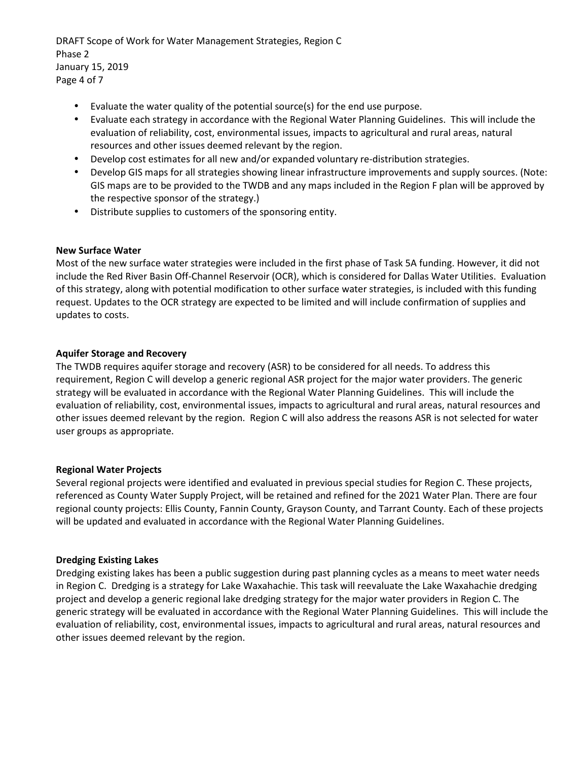DRAFT Scope of Work for Water Management Strategies, Region C Phase 2 January 15, 2019 Page 4 of 7

- Evaluate the water quality of the potential source(s) for the end use purpose.
- Evaluate each strategy in accordance with the Regional Water Planning Guidelines. This will include the evaluation of reliability, cost, environmental issues, impacts to agricultural and rural areas, natural resources and other issues deemed relevant by the region.
- Develop cost estimates for all new and/or expanded voluntary re-distribution strategies.
- Develop GIS maps for all strategies showing linear infrastructure improvements and supply sources. (Note: GIS maps are to be provided to the TWDB and any maps included in the Region F plan will be approved by the respective sponsor of the strategy.)
- Distribute supplies to customers of the sponsoring entity.

#### **New Surface Water**

Most of the new surface water strategies were included in the first phase of Task 5A funding. However, it did not include the Red River Basin Off-Channel Reservoir (OCR), which is considered for Dallas Water Utilities. Evaluation of this strategy, along with potential modification to other surface water strategies, is included with this funding request. Updates to the OCR strategy are expected to be limited and will include confirmation of supplies and updates to costs.

## **Aquifer Storage and Recovery**

The TWDB requires aquifer storage and recovery (ASR) to be considered for all needs. To address this requirement, Region C will develop a generic regional ASR project for the major water providers. The generic strategy will be evaluated in accordance with the Regional Water Planning Guidelines. This will include the evaluation of reliability, cost, environmental issues, impacts to agricultural and rural areas, natural resources and other issues deemed relevant by the region. Region C will also address the reasons ASR is not selected for water user groups as appropriate.

## **Regional Water Projects**

Several regional projects were identified and evaluated in previous special studies for Region C. These projects, referenced as County Water Supply Project, will be retained and refined for the 2021 Water Plan. There are four regional county projects: Ellis County, Fannin County, Grayson County, and Tarrant County. Each of these projects will be updated and evaluated in accordance with the Regional Water Planning Guidelines.

## **Dredging Existing Lakes**

Dredging existing lakes has been a public suggestion during past planning cycles as a means to meet water needs in Region C. Dredging is a strategy for Lake Waxahachie. This task will reevaluate the Lake Waxahachie dredging project and develop a generic regional lake dredging strategy for the major water providers in Region C. The generic strategy will be evaluated in accordance with the Regional Water Planning Guidelines. This will include the evaluation of reliability, cost, environmental issues, impacts to agricultural and rural areas, natural resources and other issues deemed relevant by the region.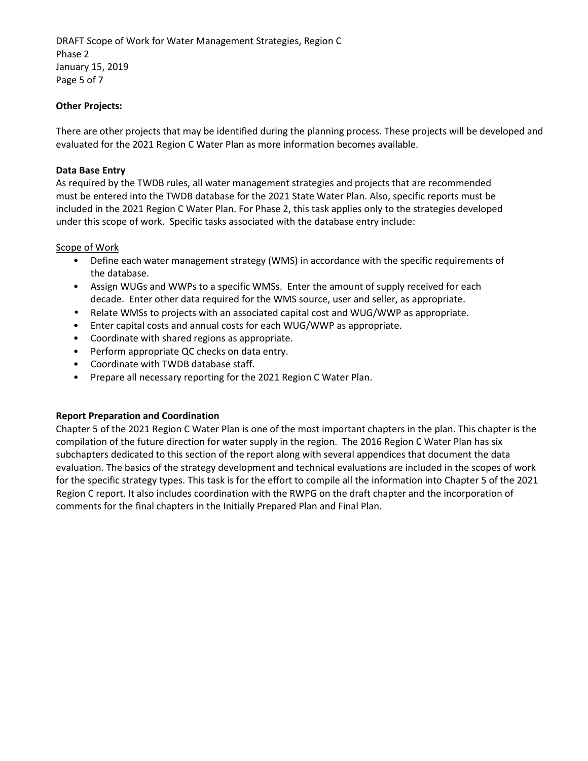DRAFT Scope of Work for Water Management Strategies, Region C Phase 2 January 15, 2019 Page 5 of 7

## **Other Projects:**

There are other projects that may be identified during the planning process. These projects will be developed and evaluated for the 2021 Region C Water Plan as more information becomes available.

## **Data Base Entry**

As required by the TWDB rules, all water management strategies and projects that are recommended must be entered into the TWDB database for the 2021 State Water Plan. Also, specific reports must be included in the 2021 Region C Water Plan. For Phase 2, this task applies only to the strategies developed under this scope of work. Specific tasks associated with the database entry include:

#### Scope of Work

- Define each water management strategy (WMS) in accordance with the specific requirements of the database.
- Assign WUGs and WWPs to a specific WMSs. Enter the amount of supply received for each decade. Enter other data required for the WMS source, user and seller, as appropriate.
- Relate WMSs to projects with an associated capital cost and WUG/WWP as appropriate.
- Enter capital costs and annual costs for each WUG/WWP as appropriate.
- Coordinate with shared regions as appropriate.
- Perform appropriate QC checks on data entry.
- Coordinate with TWDB database staff.
- Prepare all necessary reporting for the 2021 Region C Water Plan.

## **Report Preparation and Coordination**

Chapter 5 of the 2021 Region C Water Plan is one of the most important chapters in the plan. This chapter is the compilation of the future direction for water supply in the region. The 2016 Region C Water Plan has six subchapters dedicated to this section of the report along with several appendices that document the data evaluation. The basics of the strategy development and technical evaluations are included in the scopes of work for the specific strategy types. This task is for the effort to compile all the information into Chapter 5 of the 2021 Region C report. It also includes coordination with the RWPG on the draft chapter and the incorporation of comments for the final chapters in the Initially Prepared Plan and Final Plan.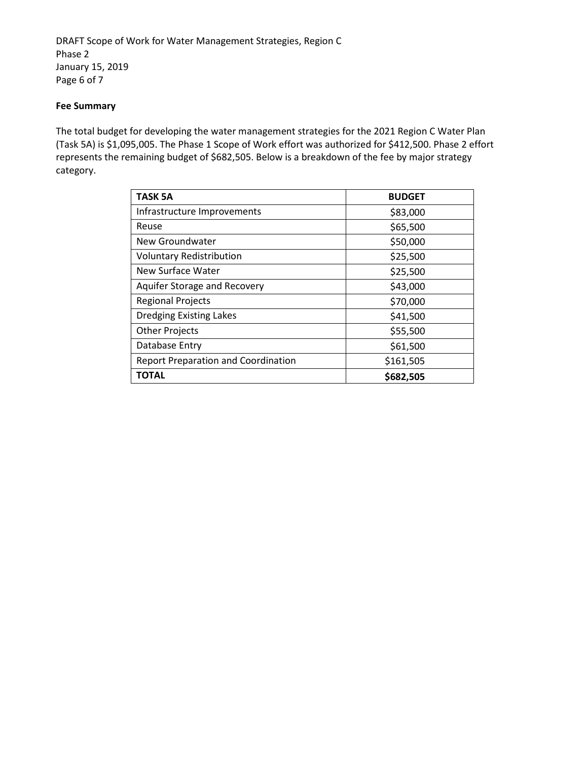DRAFT Scope of Work for Water Management Strategies, Region C Phase 2 January 15, 2019 Page 6 of 7

## **Fee Summary**

The total budget for developing the water management strategies for the 2021 Region C Water Plan (Task 5A) is \$1,095,005. The Phase 1 Scope of Work effort was authorized for \$412,500. Phase 2 effort represents the remaining budget of \$682,505. Below is a breakdown of the fee by major strategy category.

| <b>TASK 5A</b>                             | <b>BUDGET</b> |  |  |  |  |
|--------------------------------------------|---------------|--|--|--|--|
| Infrastructure Improvements                | \$83,000      |  |  |  |  |
| Reuse                                      | \$65,500      |  |  |  |  |
| New Groundwater                            | \$50,000      |  |  |  |  |
| <b>Voluntary Redistribution</b>            | \$25,500      |  |  |  |  |
| New Surface Water                          | \$25,500      |  |  |  |  |
| Aquifer Storage and Recovery               | \$43,000      |  |  |  |  |
| <b>Regional Projects</b>                   | \$70,000      |  |  |  |  |
| <b>Dredging Existing Lakes</b>             | \$41,500      |  |  |  |  |
| <b>Other Projects</b>                      | \$55,500      |  |  |  |  |
| Database Entry                             | \$61,500      |  |  |  |  |
| <b>Report Preparation and Coordination</b> | \$161,505     |  |  |  |  |
| ΤΟΤΑL                                      | \$682,505     |  |  |  |  |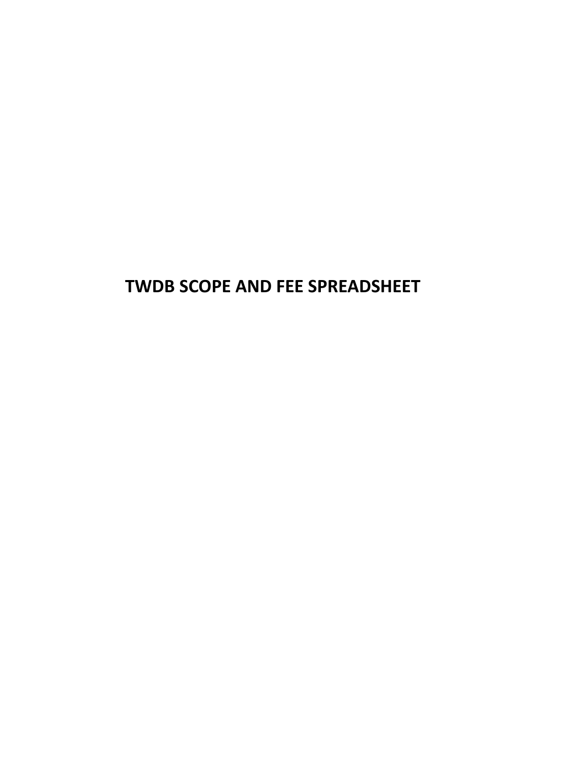# **TWDB SCOPE AND FEE SPREADSHEET**